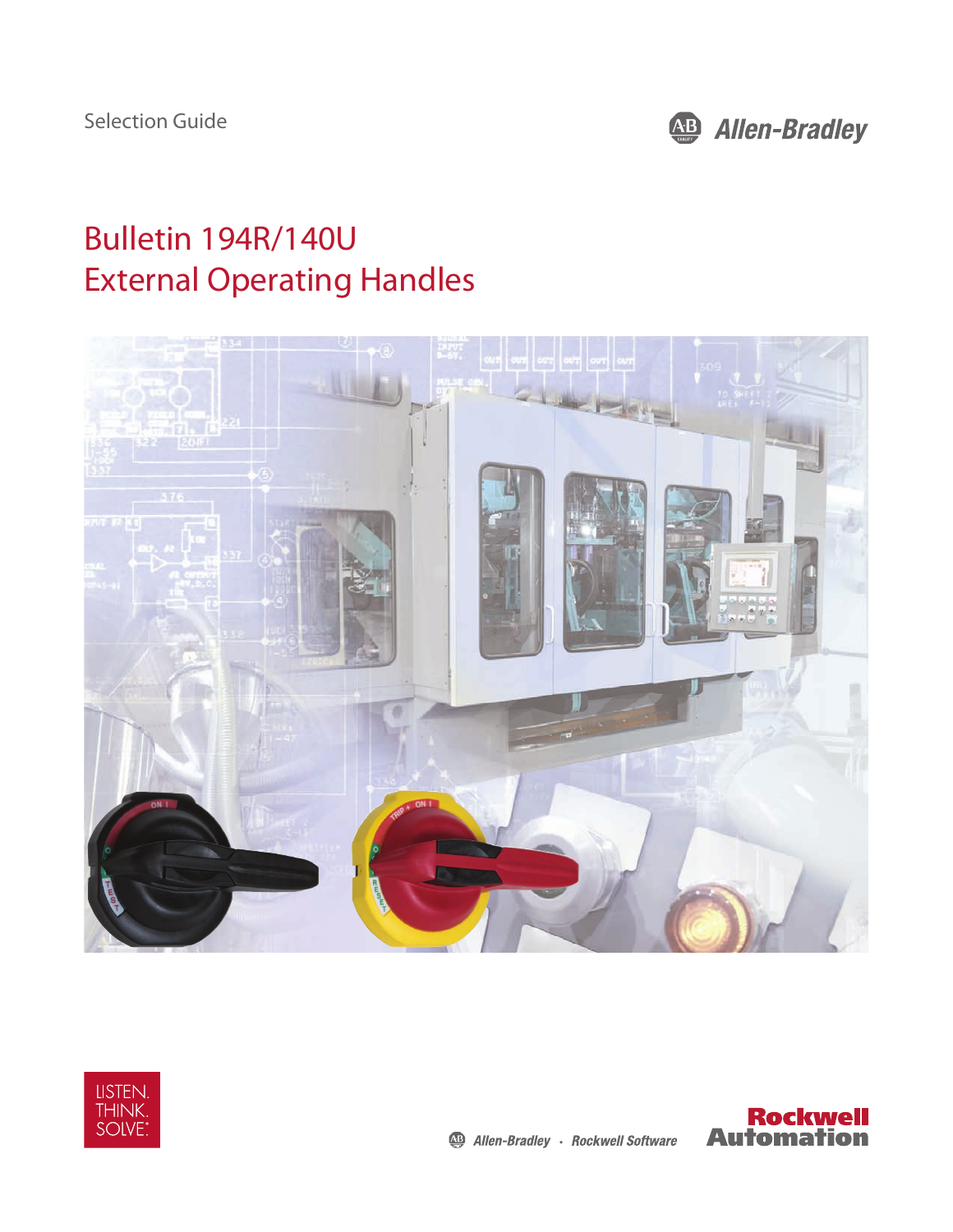

# Bulletin 194R/140U External Operating Handles





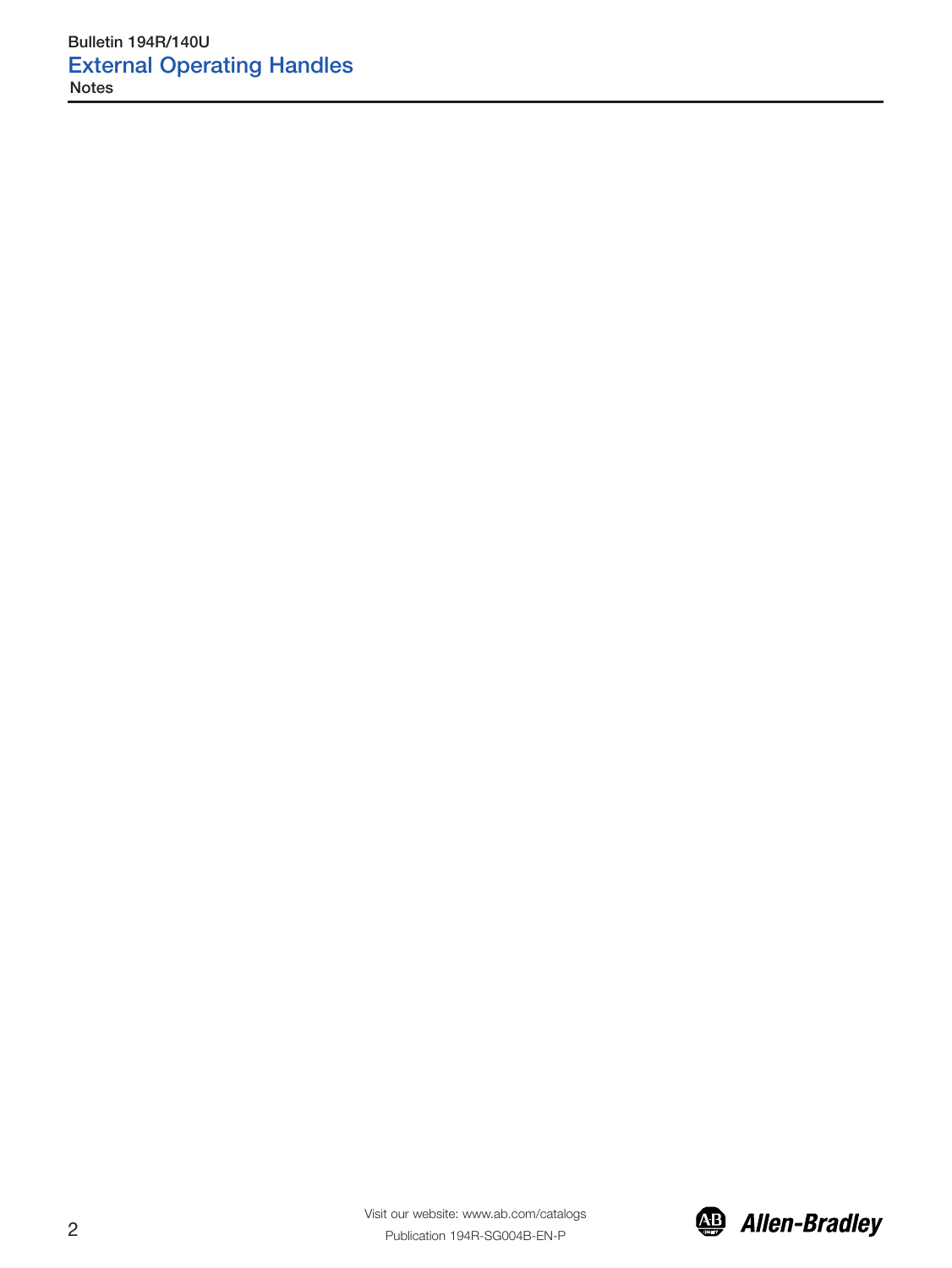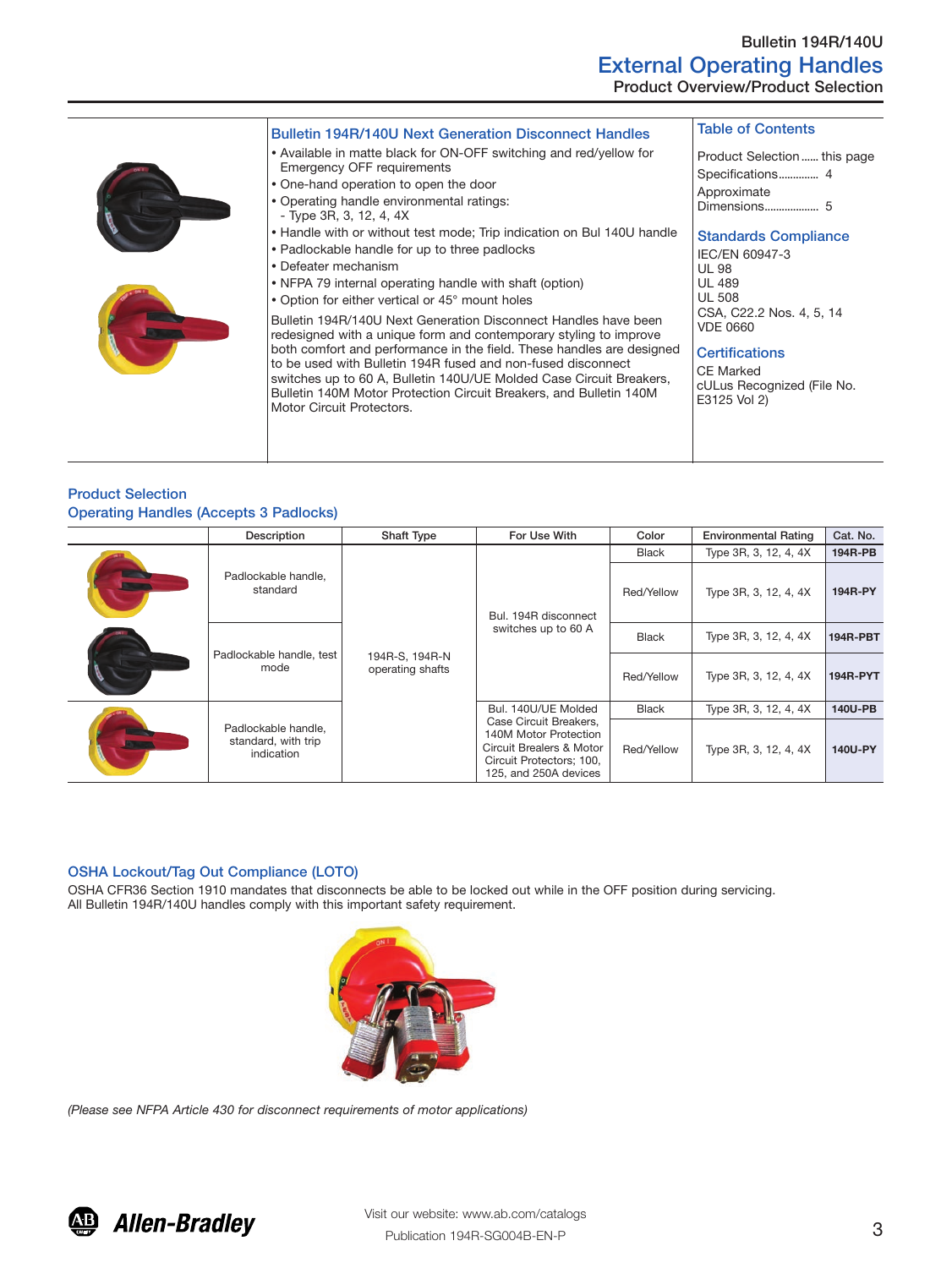| <b>Bulletin 194R/140U Next Generation Disconnect Handles</b>                                                                                                                                                                                                                                                                                                                                                                                                                                                                                                                                                                                                                                                                                                                                                                                                                                                                                  | <b>Table of Contents</b>                                                                                                                                                                                                                                                                                     |
|-----------------------------------------------------------------------------------------------------------------------------------------------------------------------------------------------------------------------------------------------------------------------------------------------------------------------------------------------------------------------------------------------------------------------------------------------------------------------------------------------------------------------------------------------------------------------------------------------------------------------------------------------------------------------------------------------------------------------------------------------------------------------------------------------------------------------------------------------------------------------------------------------------------------------------------------------|--------------------------------------------------------------------------------------------------------------------------------------------------------------------------------------------------------------------------------------------------------------------------------------------------------------|
| • Available in matte black for ON-OFF switching and red/yellow for<br>Emergency OFF requirements<br>• One-hand operation to open the door<br>• Operating handle environmental ratings:<br>- Type 3R, 3, 12, 4, 4X<br>• Handle with or without test mode; Trip indication on Bul 140U handle<br>• Padlockable handle for up to three padlocks<br>• Defeater mechanism<br>• NFPA 79 internal operating handle with shaft (option)<br>• Option for either vertical or 45° mount holes<br>Bulletin 194R/140U Next Generation Disconnect Handles have been<br>redesigned with a unique form and contemporary styling to improve<br>both comfort and performance in the field. These handles are designed<br>to be used with Bulletin 194R fused and non-fused disconnect<br>switches up to 60 A, Bulletin 140U/UE Molded Case Circuit Breakers,<br>Bulletin 140M Motor Protection Circuit Breakers, and Bulletin 140M<br>Motor Circuit Protectors. | Product Selection  this page<br>Specifications 4<br>Approximate<br><b>Standards Compliance</b><br>IEC/EN 60947-3<br><b>UL 98</b><br><b>UL 489</b><br><b>UL 508</b><br>CSA, C22.2 Nos. 4, 5, 14<br><b>VDE 0660</b><br><b>Certifications</b><br><b>CE Marked</b><br>cULus Recognized (File No.<br>E3125 Vol 2) |

## Product Selection Operating Handles (Accepts 3 Padlocks)

|  | Description                                              | <b>Shaft Type</b>                  | For Use With                                                                                                                                            | Color        | <b>Environmental Rating</b> | Cat. No.        |
|--|----------------------------------------------------------|------------------------------------|---------------------------------------------------------------------------------------------------------------------------------------------------------|--------------|-----------------------------|-----------------|
|  | Padlockable handle,<br>standard                          | 194R-S, 194R-N<br>operating shafts |                                                                                                                                                         | <b>Black</b> | Type 3R, 3, 12, 4, 4X       | 194R-PB         |
|  |                                                          |                                    | Bul. 194R disconnect<br>switches up to 60 A                                                                                                             | Red/Yellow   | Type 3R, 3, 12, 4, 4X       | 194R-PY         |
|  | Padlockable handle, test<br>mode                         |                                    |                                                                                                                                                         | <b>Black</b> | Type 3R, 3, 12, 4, 4X       | <b>194R-PBT</b> |
|  |                                                          |                                    |                                                                                                                                                         | Red/Yellow   | Type 3R, 3, 12, 4, 4X       | <b>194R-PYT</b> |
|  | Padlockable handle,<br>standard, with trip<br>indication |                                    | Bul. 140U/UE Molded<br>Case Circuit Breakers.<br>140M Motor Protection<br>Circuit Brealers & Motor<br>Circuit Protectors; 100,<br>125, and 250A devices | <b>Black</b> | Type 3R, 3, 12, 4, 4X       | 140U-PB         |
|  |                                                          |                                    |                                                                                                                                                         | Red/Yellow   | Type 3R, 3, 12, 4, 4X       | 140U-PY         |

# OSHA Lockout/Tag Out Compliance (LOTO)

OSHA CFR36 Section 1910 mandates that disconnects be able to be locked out while in the OFF position during servicing. All Bulletin 194R/140U handles comply with this important safety requirement.



*(Please see NFPA Article 430 for disconnect requirements of motor applications)*

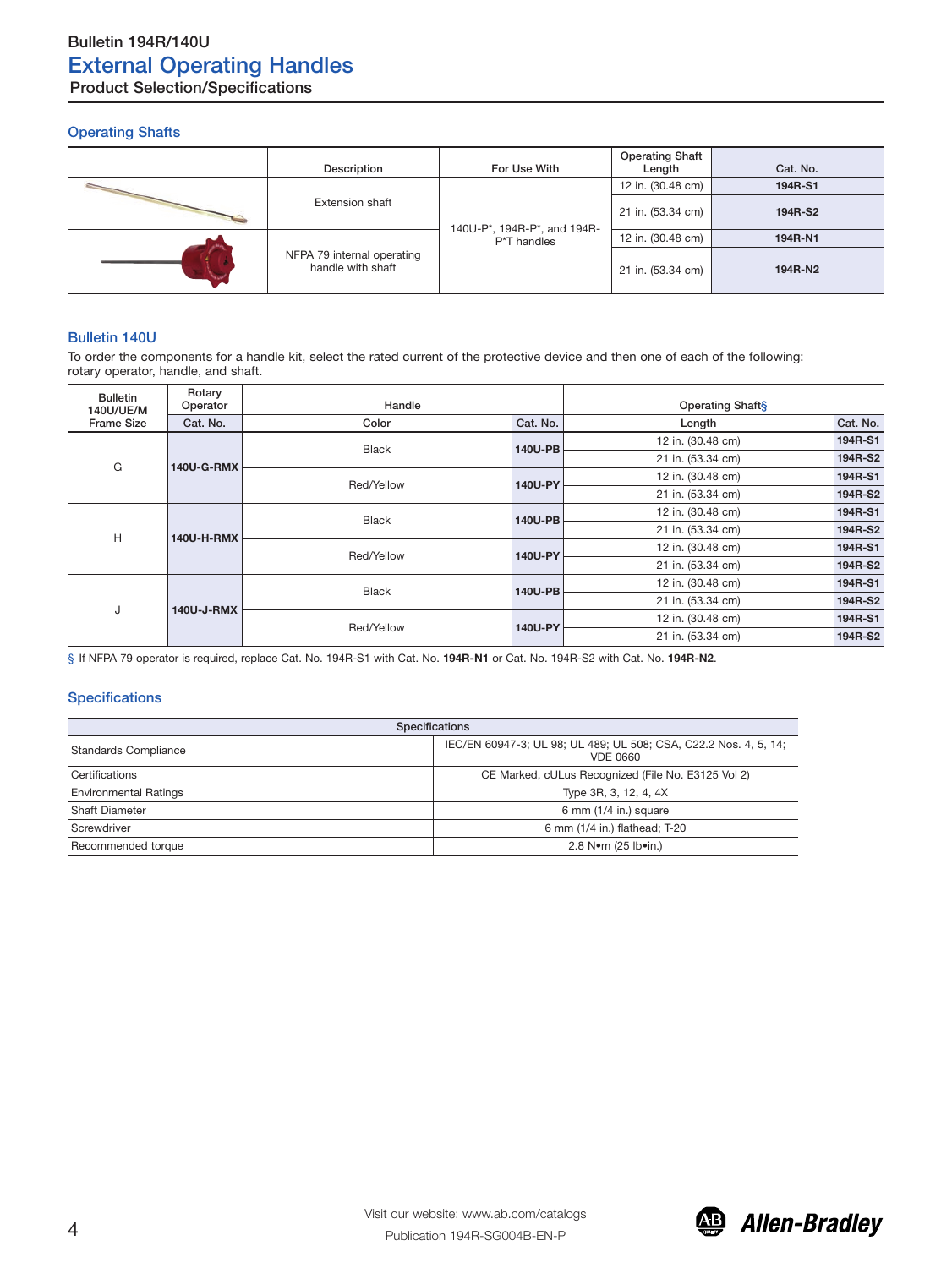## Operating Shafts

| Description                                     | For Use With                | <b>Operating Shaft</b><br>Length | Cat. No. |
|-------------------------------------------------|-----------------------------|----------------------------------|----------|
|                                                 |                             | 12 in. (30.48 cm)                | 194R-S1  |
| <b>Extension shaft</b>                          | 140U-P*, 194R-P*, and 194R- | 21 in. (53.34 cm)                | 194R-S2  |
| NFPA 79 internal operating<br>handle with shaft | P*T handles                 | 12 in. (30.48 cm)                | 194R-N1  |
|                                                 |                             | 21 in. (53.34 cm)                | 194R-N2  |

## Bulletin 140U

To order the components for a handle kit, select the rated current of the protective device and then one of each of the following: rotary operator, handle, and shaft.

| Rotary<br><b>Bulletin</b><br>Operator<br>140U/UE/M |            | Handle                  |                   | <b>Operating Shafts</b> |          |  |
|----------------------------------------------------|------------|-------------------------|-------------------|-------------------------|----------|--|
| <b>Frame Size</b>                                  | Cat. No.   | Color                   | Cat. No.          | Length                  | Cat. No. |  |
| G<br><b>140U-G-RMX</b>                             |            | <b>Black</b><br>140U-PB |                   | 12 in. (30.48 cm)       | 194R-S1  |  |
|                                                    |            |                         | 21 in. (53.34 cm) | 194R-S2                 |          |  |
|                                                    |            | Red/Yellow              |                   | 12 in. (30.48 cm)       | 194R-S1  |  |
|                                                    |            | 140U-PY                 | 21 in. (53.34 cm) | 194R-S2                 |          |  |
| H<br><b>140U-H-RMX</b>                             |            | <b>Black</b>            | 140U-PB           | 12 in. (30.48 cm)       | 194R-S1  |  |
|                                                    |            |                         |                   | 21 in. (53.34 cm)       | 194R-S2  |  |
|                                                    |            | Red/Yellow              | 140U-PY           | 12 in. (30.48 cm)       | 194R-S1  |  |
|                                                    |            |                         |                   | 21 in. (53.34 cm)       | 194R-S2  |  |
| J                                                  | 140U-J-RMX | <b>Black</b>            | 140U-PB           | 12 in. (30.48 cm)       | 194R-S1  |  |
|                                                    |            |                         |                   | 21 in. (53.34 cm)       | 194R-S2  |  |
|                                                    |            | Red/Yellow              | 140U-PY           | 12 in. (30.48 cm)       | 194R-S1  |  |
|                                                    |            |                         |                   | 21 in. (53.34 cm)       | 194R-S2  |  |

§ If NFPA 79 operator is required, replace Cat. No. 194R-S1 with Cat. No. **194R-N1** or Cat. No. 194R-S2 with Cat. No. **194R-N2**.

### **Specifications**

| <b>Specifications</b>                            |                                                                                     |  |  |  |
|--------------------------------------------------|-------------------------------------------------------------------------------------|--|--|--|
| <b>Standards Compliance</b>                      | IEC/EN 60947-3; UL 98; UL 489; UL 508; CSA, C22.2 Nos. 4, 5, 14;<br><b>VDE 0660</b> |  |  |  |
| Certifications                                   | CE Marked, cULus Recognized (File No. E3125 Vol 2)                                  |  |  |  |
| <b>Environmental Ratings</b>                     | Type 3R, 3, 12, 4, 4X                                                               |  |  |  |
| <b>Shaft Diameter</b><br>6 mm $(1/4$ in.) square |                                                                                     |  |  |  |
| Screwdriver                                      | 6 mm (1/4 in.) flathead; T-20                                                       |  |  |  |
| Recommended torque                               | 2.8 Nom (25 lboin.)                                                                 |  |  |  |

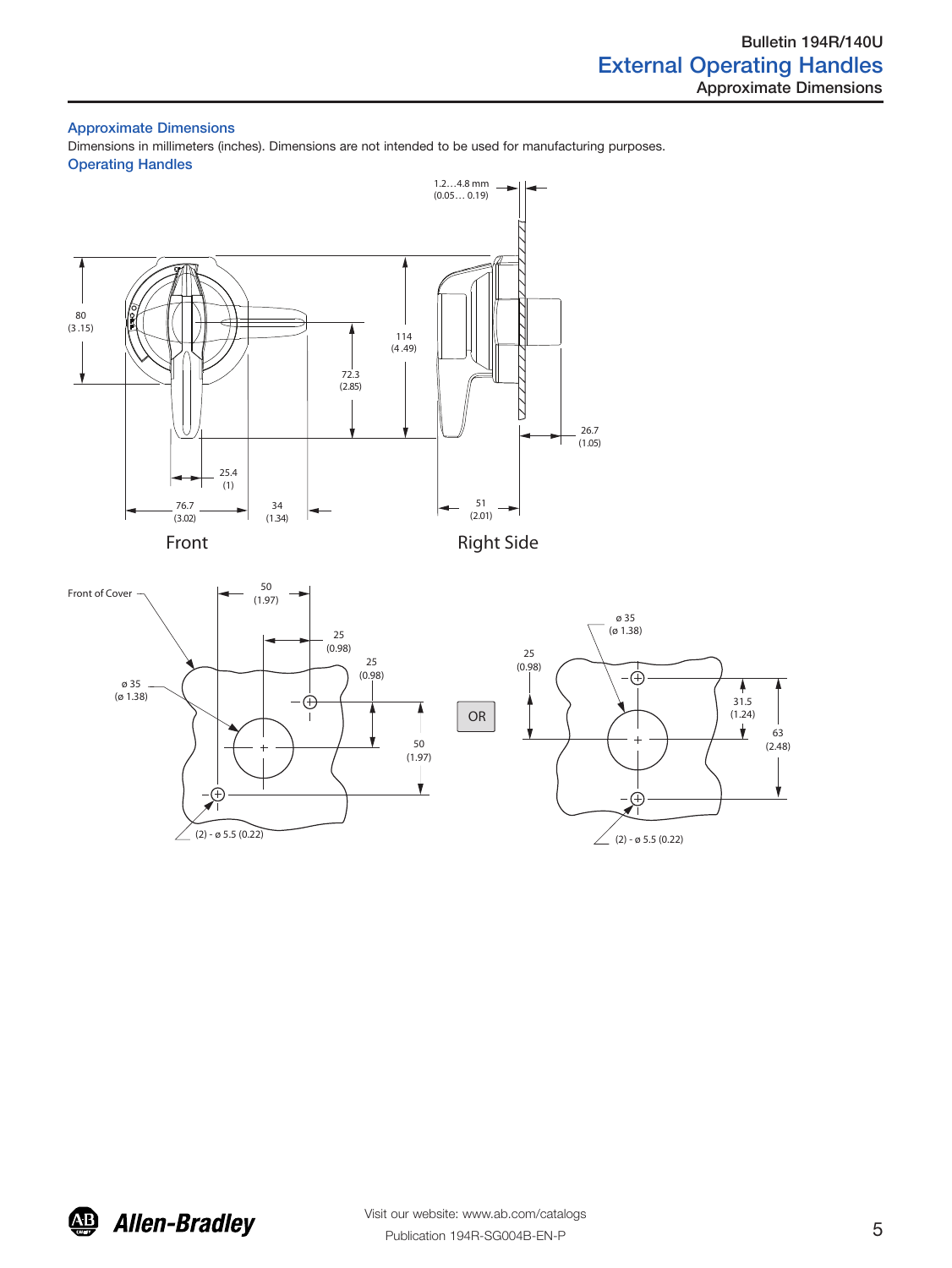## Approximate Dimensions

Dimensions in millimeters (inches). Dimensions are not intended to be used for manufacturing purposes. Operating Handles